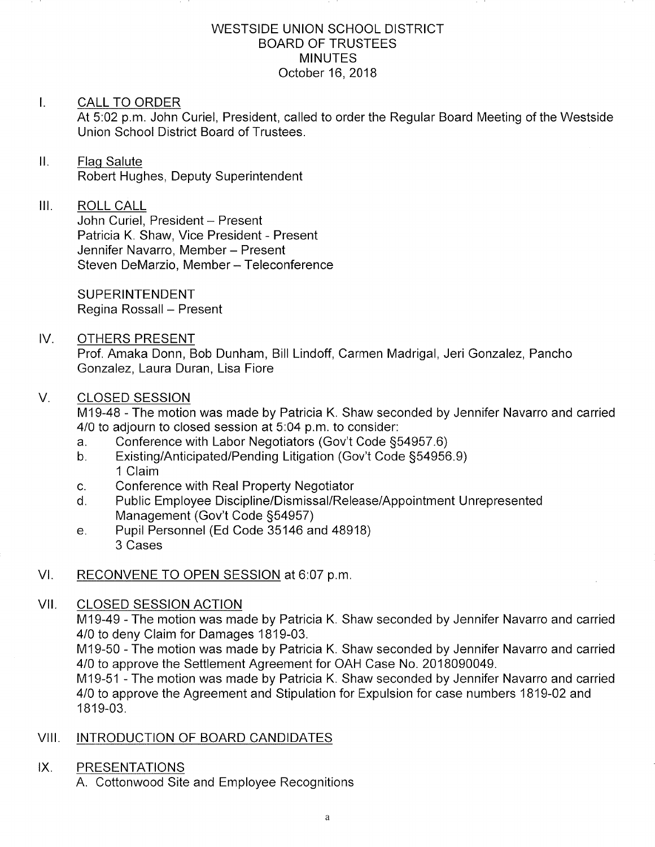#### WESTSIDE UNION SCHOOL DISTRICT BOARD OF TRUSTEES **MINUTES** October 16,2018

#### I. CALL TO ORDER

At 5:02 p.m. John Curiel, President, called to order the Regular Board Meeting of the Westside Union School District Board of Trustees.

#### Н. Flaq Salute Robert Hughes, Deputy Superintendent

## III. ROLL CALL

John Curiel, President - Present Patricia K. Shaw, Vice President - Present Jennifer Navarro, Member - Present Steven DeMarzio, Member - Teleconference

SUPERINTENDENT Regina Rossall - Present

## IV. OTHERS PRESENT

Prof. Amaka Donn, Bob Dunham, Bill Lindoff, Carmen Madrigal, Jeri Gonzalez, Pancho Gonzalez, Laura Duran, Lisa Fiore

## V. CLOSED SESSION

M19-48 - The motion was made by Patricia K. Shaw seconded by Jennifer Navarro and carried 4/0 to adjourn to closed session at 5:04 p.m. to consider:

- a. Conference with Labor Negotiators (Gov't Code §54957.6)<br>b. Existing/Anticipated/Pending Litigation (Gov't Code §54956.9)
- 1 Claim
- 
- c. Conference with Real Property Negotiator<br>d. Public Employee Discipline/Dismissal/Release/Appointment Unrepresented Management (Gov't Code S54957) e. Pupil Personnel (Ed Code 35146 and 48918)
- 3 Cases

# VI. RECONVENE TO OPEN SESSION at 6:07 p.m.

#### CLOSED SESSION ACTION vil

M19-49 - The motion was made by Patricia K. Shaw seconded by Jennifer Navarro and carried 4/0 to deny Claim for Damages 1819-03.

M19-50 - The motion was made by Patricia K. Shaw seconded by Jennifer Navarro and carried 4/0 to approve the Settlement Agreement for OAH Case No. 2018090049.

M19-51 - The motion was made by Patricia K. Shaw seconded by Jennifer Navarro and carried 4/0 to approve the Agreement and Stipulation for Expulsion for case numbers 1819-02 and 1819-03.

# VIII. INTRODUCTION OF BOARD CANDIDATES

## IX. PRESENTATIONS

A. Cottonwood Site and Employee Recognitions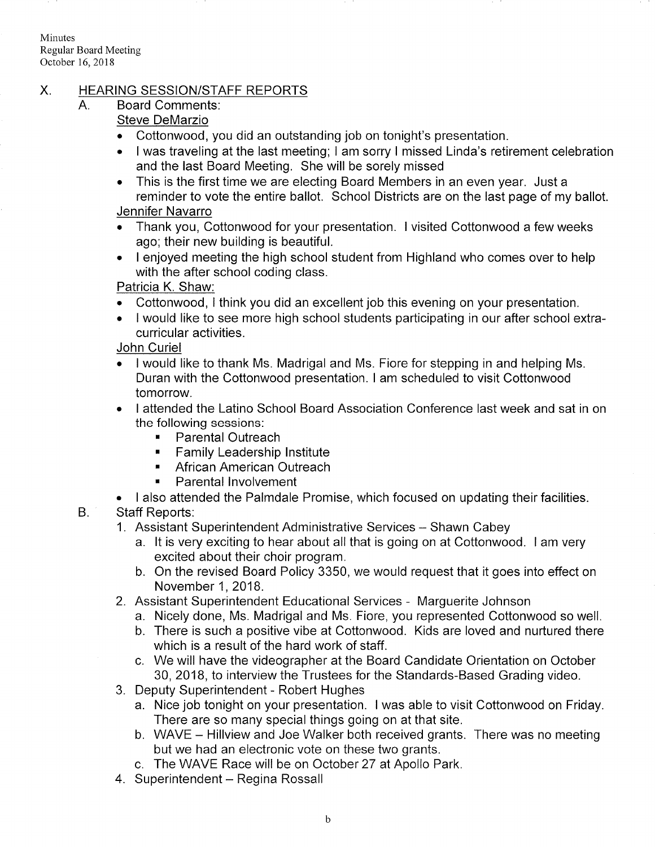Minutes Regular Board Meeting October 16,2018

# X. HEARING SESSION/STAFF REPORTS<br>A. Board Comments:

# Steve DeMarzio

- Cottonwood, you did an outstanding job on tonight's presentation.
- . I was traveling at the last meeting; <sup>I</sup>am sorry I missed Linda's retirement celebration and the last Board Meeting. She will be sorely missed
- . This is the first time we are electing Board Members in an even year. Just <sup>a</sup> reminder to vote the entire ballot. School Districts are on the last page of my ballot. Jennifer Navarro

- . Thank you, Cottonwood for your presentation. I visited Cottonwood a few weeks ago; their new building is beautiful.
- . <sup>I</sup>enjoyed meeting the high school student from Highland who comes over to help with the after school coding class.

Patricia K. Shaw:

- . Cottonwood, I think you did an excellent job this evening on your presentation.
- . I would like to see more high school students participating in our after school extracurricular activities.

## John Curiel

- . I would like to thank Ms. Madrigal and Ms. Fiore for stepping in and helping Ms. Duran with the Cottonwood presentation. I am scheduled to visit Cottonwood tomorrow.
- . I attended the Latino School Board Association Conference last week and sat in on the following sessions.
	- . Parental Outreach
	- . Family Leadership lnstitute
	- . African American Outreach
	- **Parental Involvement**
- . I also attended the Palmdale Promise, which focused on updating their facilities.

B Staff Reports:

- 1. Assistant Superintendent Administrative Services Shawn Cabey
	- a. lt is very exciting to hear about all that is going on at Cottonwood. I am very excited about their choir program.
	- b. On the revised Board Policy 3350, we would request that it goes into effect on November 1,2018.
- 2. Assistant Superintendent Educational Services Marguerite Johnson
	- a. Nicely done, Ms. Madrigal and Ms. Fiore, you represented Cottonwood so well.
	- b. There is such a positive vibe at Cottonwood. Kids are loved and nurtured there which is a result of the hard work of staff.
	- c. We will have the videographer at the Board Candidate Orientation on October 30,2018, to interview the Trustees for the Standards-Based Grading video.
- 3. Deputy Superintendent Robert Hughes
	- a. Nice job tonight on your presentation. <sup>I</sup>was able to visit Cottonwood on Friday. There are so many special things going on at that site.
	- b. WAVE Hillview and Joe Walker both received grants. There was no meeting but we had an electronic vote on these two grants.
	- c. The WAVE Race will be on October 27 at Apollo Park.
- 4. Superintendent Regina Rossall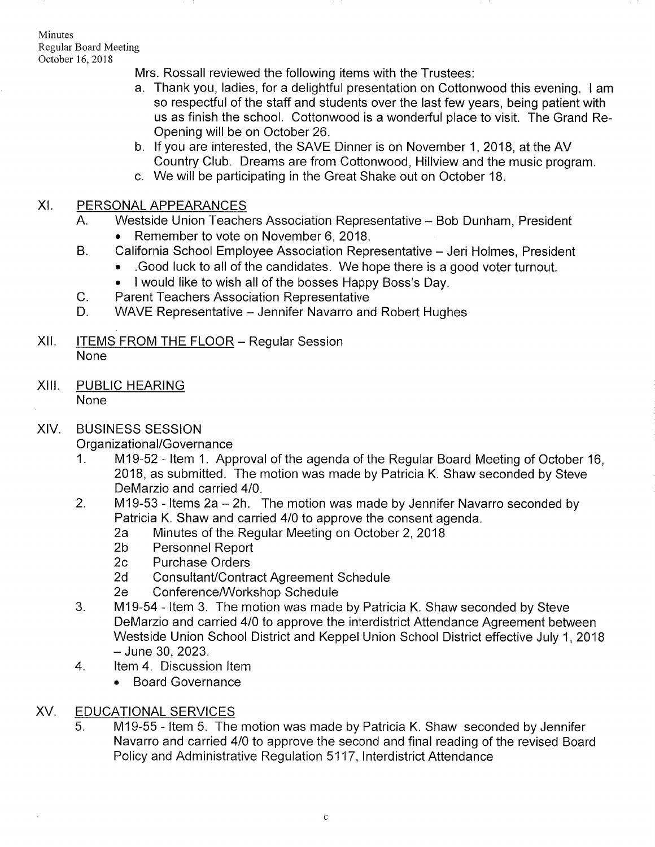Minutes Regular Board Meeting October 16,2018

Mrs. Rossall reviewed the following items with the Trustees:

- a. Thank you, ladies, for a delightful presentation on Cottonwood this evening. I am so respectful of the staff and students over the last few years, being patient with us as finish the school. Cottonwood is a wonderful place to visit. The Grand Re-Opening will be on October 26.<br>b. If you are interested, the SAVE Dinner is on November 1, 2018, at the AV
- Country Club. Dreams are from Cottonwood, Hillview and the music program.
- c. We will be participating in the Great Shake out on October 18.

# XI. PERSONAL APPEARANCES

- A. Westside Union Teachers Association Representative Bob Dunham, President
	-
- . Remember to vote on November 6, 2018. B. California School Employee Association Representative Jeri Holmes, President
	- . .Good luck to all of the candidates. We hope there is a good voter turnout.
	-
	-
- I would like to wish all of the bosses Happy Boss's Day.<br>C. Parent Teachers Association Representative<br>D. WAVE Representative Jennifer Navarro and Robert Hughes
- $XII.$  ITEMS FROM THE FLOOR Regular Session None
- XIII. PUBLIC HEARING None

# XIV. BUSINESS SESSION

- Organizational/Governance<br>1. M19-52 Item 1. Approval of the agenda of the Regular Board Meeting of October 16, 2018, as submitted. The motion was made by Patricia K. Shaw seconded by Steve DeMarzio and carried 410.
- 2. M19-53 Items  $2a 2h$ . The motion was made by Jennifer Navarro seconded by Patricia K. Shaw and carried 4/0 to approve the consent agenda.<br>
2a Minutes of the Regular Meeting on October 2, 2018<br>
2b Personnel Report<br>
2c Purchase Orders
	-
	-
	-
	-
	-
- 2d Consultant/Contract Agreement Schedule<br>2e Conference/Workshop Schedule<br>3. M19-54 Item 3. The motion was made by Patricia K. Shaw seconded by Steve DeMarzio and carried 410 to approve the interdistrict Attendance Agreement between Westside Union School District and Keppel Union School District effective July 1, 2018<br>- June 30, 2023.
- 4. Item 4. Discussion Item
	- . Board Governance

# XV. EDUCATIONAL SERVICES

M19-55 - ltem 5. The motion was made by Patricia K. Shaw seconded by Jennifer Navarro and carried 410 to approve the second and final reading of the revised Board Policy and Administrative Regulation 5117, Interdistrict Attendance 5